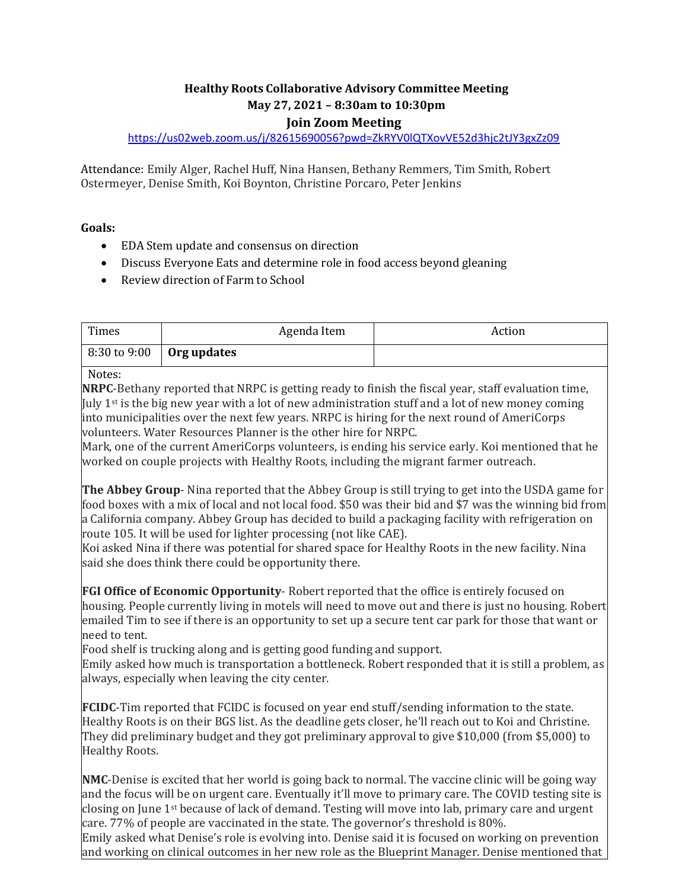# **Healthy Roots Collaborative Advisory Committee Meeting May 27, 2021 – 8:30am to 10:30pm Join Zoom Meeting**

<https://us02web.zoom.us/j/82615690056?pwd=ZkRYV0lQTXovVE52d3hjc2tJY3gxZz09>

Attendance: Emily Alger, Rachel Huff, Nina Hansen, Bethany Remmers, Tim Smith, Robert Ostermeyer, Denise Smith, Koi Boynton, Christine Porcaro, Peter Jenkins

## **Goals:**

- EDA Stem update and consensus on direction
- Discuss Everyone Eats and determine role in food access beyond gleaning
- Review direction of Farm to School

| Times                                    | Agenda Item | Action |
|------------------------------------------|-------------|--------|
| $\vert 8:30$ to 9:00 $\vert$ Org updates |             |        |
|                                          |             |        |

### Notes:

**NRPC**-Bethany reported that NRPC is getting ready to finish the fiscal year, staff evaluation time, July 1st is the big new year with a lot of new administration stuff and a lot of new money coming into municipalities over the next few years. NRPC is hiring for the next round of AmeriCorps volunteers. Water Resources Planner is the other hire for NRPC.

Mark, one of the current AmeriCorps volunteers, is ending his service early. Koi mentioned that he worked on couple projects with Healthy Roots, including the migrant farmer outreach.

**The Abbey Group**- Nina reported that the Abbey Group is still trying to get into the USDA game for food boxes with a mix of local and not local food. \$50 was their bid and \$7 was the winning bid from a California company. Abbey Group has decided to build a packaging facility with refrigeration on route 105. It will be used for lighter processing (not like CAE).

Koi asked Nina if there was potential for shared space for Healthy Roots in the new facility. Nina said she does think there could be opportunity there.

**FGI Office of Economic Opportunity**- Robert reported that the office is entirely focused on housing. People currently living in motels will need to move out and there is just no housing. Robert emailed Tim to see if there is an opportunity to set up a secure tent car park for those that want or need to tent.

Food shelf is trucking along and is getting good funding and support.

Emily asked how much is transportation a bottleneck. Robert responded that it is still a problem, as always, especially when leaving the city center.

**FCIDC**-Tim reported that FCIDC is focused on year end stuff/sending information to the state. Healthy Roots is on their BGS list. As the deadline gets closer, he'll reach out to Koi and Christine. They did preliminary budget and they got preliminary approval to give \$10,000 (from \$5,000) to Healthy Roots.

**NMC**-Denise is excited that her world is going back to normal. The vaccine clinic will be going way and the focus will be on urgent care. Eventually it'll move to primary care. The COVID testing site is closing on June 1st because of lack of demand. Testing will move into lab, primary care and urgent care. 77% of people are vaccinated in the state. The governor's threshold is 80%.

Emily asked what Denise's role is evolving into. Denise said it is focused on working on prevention and working on clinical outcomes in her new role as the Blueprint Manager. Denise mentioned that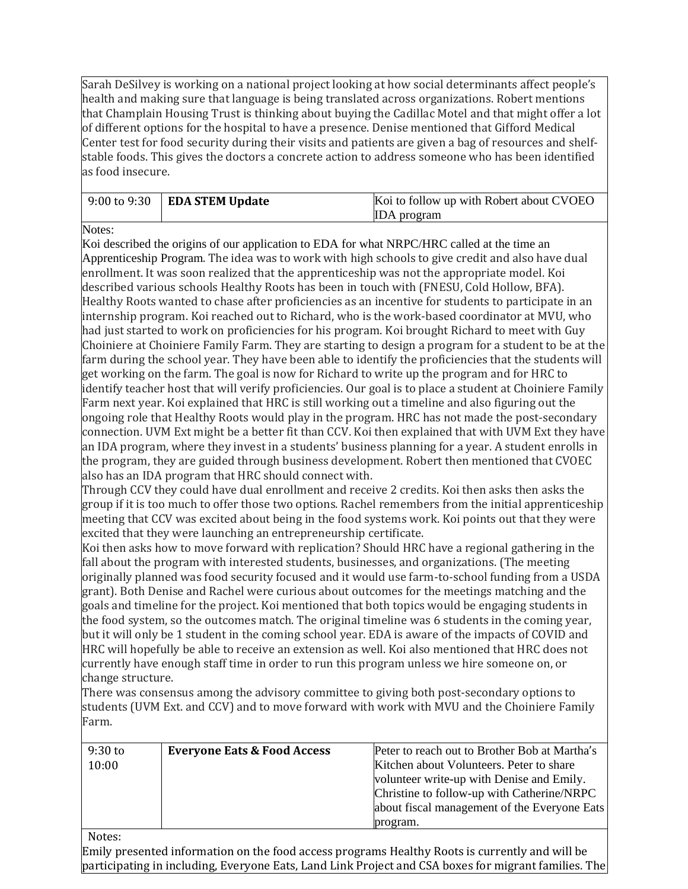Sarah DeSilvey is working on a national project looking at how social determinants affect people's health and making sure that language is being translated across organizations. Robert mentions that Champlain Housing Trust is thinking about buying the Cadillac Motel and that might offer a lot of different options for the hospital to have a presence. Denise mentioned that Gifford Medical Center test for food security during their visits and patients are given a bag of resources and shelfstable foods. This gives the doctors a concrete action to address someone who has been identified as food insecure.

| $\vert 9:00$ to $9:30$ $\vert$ EDA STEM Update | Koi to follow up with Robert about CVOEO |
|------------------------------------------------|------------------------------------------|
|                                                | <b>IDA</b> program                       |

Notes:

Koi described the origins of our application to EDA for what NRPC/HRC called at the time an Apprenticeship Program. The idea was to work with high schools to give credit and also have dual enrollment. It was soon realized that the apprenticeship was not the appropriate model. Koi described various schools Healthy Roots has been in touch with (FNESU, Cold Hollow, BFA). Healthy Roots wanted to chase after proficiencies as an incentive for students to participate in an internship program. Koi reached out to Richard, who is the work-based coordinator at MVU, who had just started to work on proficiencies for his program. Koi brought Richard to meet with Guy Choiniere at Choiniere Family Farm. They are starting to design a program for a student to be at the farm during the school year. They have been able to identify the proficiencies that the students will get working on the farm. The goal is now for Richard to write up the program and for HRC to identify teacher host that will verify proficiencies. Our goal is to place a student at Choiniere Family Farm next year. Koi explained that HRC is still working out a timeline and also figuring out the ongoing role that Healthy Roots would play in the program. HRC has not made the post-secondary connection. UVM Ext might be a better fit than CCV. Koi then explained that with UVM Ext they have an IDA program, where they invest in a students' business planning for a year. A student enrolls in the program, they are guided through business development. Robert then mentioned that CVOEC also has an IDA program that HRC should connect with. Through CCV they could have dual enrollment and receive 2 credits. Koi then asks then asks the group if it is too much to offer those two options. Rachel remembers from the initial apprenticeship meeting that CCV was excited about being in the food systems work. Koi points out that they were excited that they were launching an entrepreneurship certificate. Koi then asks how to move forward with replication? Should HRC have a regional gathering in the fall about the program with interested students, businesses, and organizations. (The meeting

originally planned was food security focused and it would use farm-to-school funding from a USDA grant). Both Denise and Rachel were curious about outcomes for the meetings matching and the goals and timeline for the project. Koi mentioned that both topics would be engaging students in the food system, so the outcomes match. The original timeline was 6 students in the coming year, but it will only be 1 student in the coming school year. EDA is aware of the impacts of COVID and HRC will hopefully be able to receive an extension as well. Koi also mentioned that HRC does not currently have enough staff time in order to run this program unless we hire someone on, or change structure.

There was consensus among the advisory committee to giving both post-secondary options to students (UVM Ext. and CCV) and to move forward with work with MVU and the Choiniere Family Farm.

| $9:30$ to | <b>Everyone Eats &amp; Food Access</b> | Peter to reach out to Brother Bob at Martha's |
|-----------|----------------------------------------|-----------------------------------------------|
| 10:00     |                                        | Kitchen about Volunteers. Peter to share      |
|           |                                        | volunteer write-up with Denise and Emily.     |
|           |                                        | Christine to follow-up with Catherine/NRPC    |
|           |                                        | about fiscal management of the Everyone Eats  |
|           |                                        | program.                                      |

#### Notes:

Emily presented information on the food access programs Healthy Roots is currently and will be participating in including, Everyone Eats, Land Link Project and CSA boxes for migrant families. The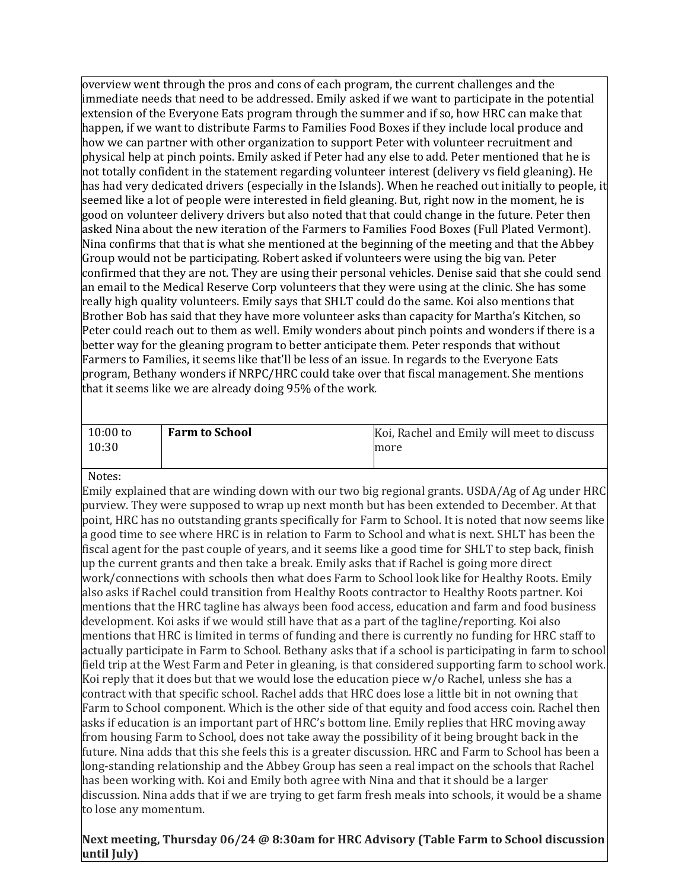overview went through the pros and cons of each program, the current challenges and the immediate needs that need to be addressed. Emily asked if we want to participate in the potential extension of the Everyone Eats program through the summer and if so, how HRC can make that happen, if we want to distribute Farms to Families Food Boxes if they include local produce and how we can partner with other organization to support Peter with volunteer recruitment and physical help at pinch points. Emily asked if Peter had any else to add. Peter mentioned that he is not totally confident in the statement regarding volunteer interest (delivery vs field gleaning). He has had very dedicated drivers (especially in the Islands). When he reached out initially to people, it seemed like a lot of people were interested in field gleaning. But, right now in the moment, he is good on volunteer delivery drivers but also noted that that could change in the future. Peter then asked Nina about the new iteration of the Farmers to Families Food Boxes (Full Plated Vermont). Nina confirms that that is what she mentioned at the beginning of the meeting and that the Abbey Group would not be participating. Robert asked if volunteers were using the big van. Peter confirmed that they are not. They are using their personal vehicles. Denise said that she could send an email to the Medical Reserve Corp volunteers that they were using at the clinic. She has some really high quality volunteers. Emily says that SHLT could do the same. Koi also mentions that Brother Bob has said that they have more volunteer asks than capacity for Martha's Kitchen, so Peter could reach out to them as well. Emily wonders about pinch points and wonders if there is a better way for the gleaning program to better anticipate them. Peter responds that without Farmers to Families, it seems like that'll be less of an issue. In regards to the Everyone Eats program, Bethany wonders if NRPC/HRC could take over that fiscal management. She mentions that it seems like we are already doing 95% of the work.

| $10:00$ to | <b>Farm to School</b> | Koi, Rachel and Emily will meet to discuss |
|------------|-----------------------|--------------------------------------------|
| 10:30      |                       | more                                       |

#### Notes:

Emily explained that are winding down with our two big regional grants. USDA/Ag of Ag under HRC purview. They were supposed to wrap up next month but has been extended to December. At that point, HRC has no outstanding grants specifically for Farm to School. It is noted that now seems like a good time to see where HRC is in relation to Farm to School and what is next. SHLT has been the fiscal agent for the past couple of years, and it seems like a good time for SHLT to step back, finish up the current grants and then take a break. Emily asks that if Rachel is going more direct work/connections with schools then what does Farm to School look like for Healthy Roots. Emily also asks if Rachel could transition from Healthy Roots contractor to Healthy Roots partner. Koi mentions that the HRC tagline has always been food access, education and farm and food business development. Koi asks if we would still have that as a part of the tagline/reporting. Koi also mentions that HRC is limited in terms of funding and there is currently no funding for HRC staff to actually participate in Farm to School. Bethany asks that if a school is participating in farm to school field trip at the West Farm and Peter in gleaning, is that considered supporting farm to school work. Koi reply that it does but that we would lose the education piece w/o Rachel, unless she has a contract with that specific school. Rachel adds that HRC does lose a little bit in not owning that Farm to School component. Which is the other side of that equity and food access coin. Rachel then asks if education is an important part of HRC's bottom line. Emily replies that HRC moving away from housing Farm to School, does not take away the possibility of it being brought back in the future. Nina adds that this she feels this is a greater discussion. HRC and Farm to School has been a long-standing relationship and the Abbey Group has seen a real impact on the schools that Rachel has been working with. Koi and Emily both agree with Nina and that it should be a larger discussion. Nina adds that if we are trying to get farm fresh meals into schools, it would be a shame to lose any momentum.

## **Next meeting, Thursday 06/24 @ 8:30am for HRC Advisory (Table Farm to School discussion until July)**